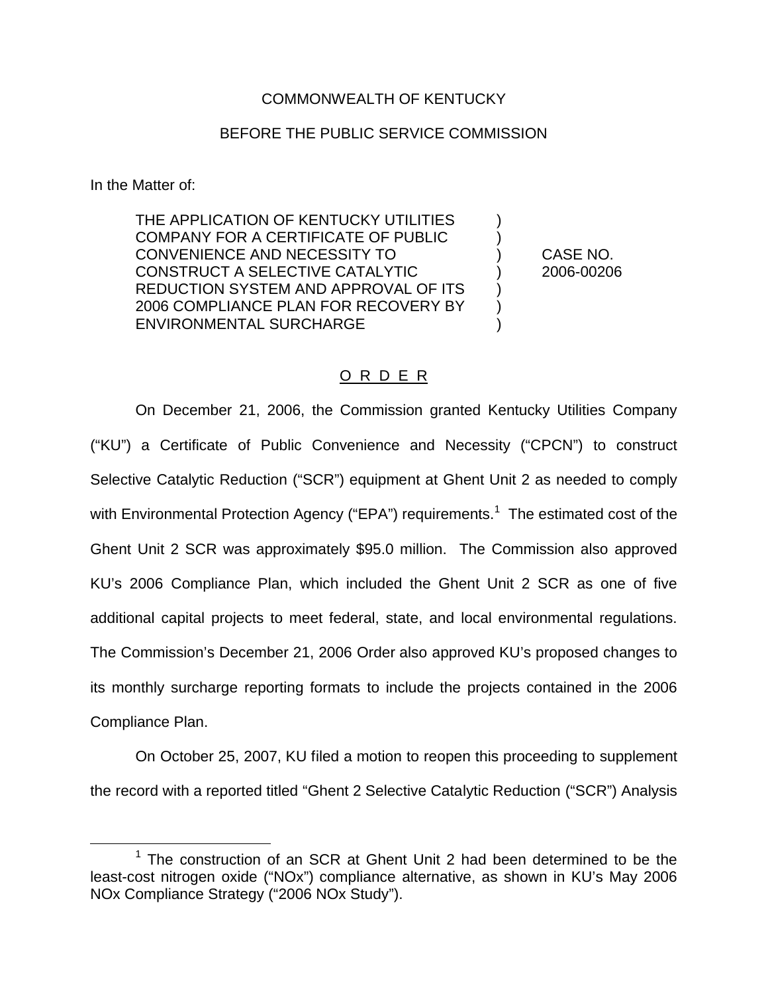## COMMONWEALTH OF KENTUCKY

## BEFORE THE PUBLIC SERVICE COMMISSION

In the Matter of:

THE APPLICATION OF KENTUCKY UTILITIES COMPANY FOR A CERTIFICATE OF PUBLIC ) CONVENIENCE AND NECESSITY TO ) CASE NO. CONSTRUCT A SELECTIVE CATALYTIC ) 2006-00206 REDUCTION SYSTEM AND APPROVAL OF ITS ) 2006 COMPLIANCE PLAN FOR RECOVERY BY ) ENVIRONMENTAL SURCHARGE

## O R D E R

On December 21, 2006, the Commission granted Kentucky Utilities Company ("KU") a Certificate of Public Convenience and Necessity ("CPCN") to construct Selective Catalytic Reduction ("SCR") equipment at Ghent Unit 2 as needed to comply with Environmental Protection Agency ("EPA") requirements.<sup>1</sup> The estimated cost of the Ghent Unit 2 SCR was approximately \$95.0 million. The Commission also approved KU's 2006 Compliance Plan, which included the Ghent Unit 2 SCR as one of five additional capital projects to meet federal, state, and local environmental regulations. The Commission's December 21, 2006 Order also approved KU's proposed changes to its monthly surcharge reporting formats to include the projects contained in the 2006 Compliance Plan.

On October 25, 2007, KU filed a motion to reopen this proceeding to supplement the record with a reported titled "Ghent 2 Selective Catalytic Reduction ("SCR") Analysis

 $1$  The construction of an SCR at Ghent Unit 2 had been determined to be the least-cost nitrogen oxide ("NOx") compliance alternative, as shown in KU's May 2006 NOx Compliance Strategy ("2006 NOx Study").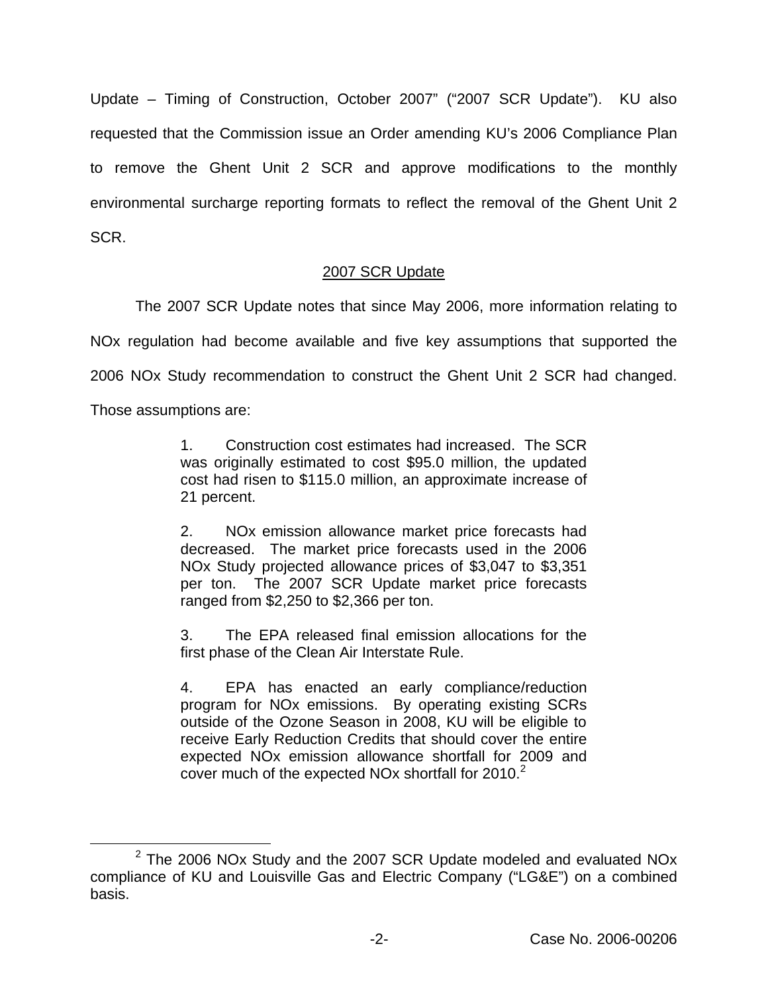Update – Timing of Construction, October 2007" ("2007 SCR Update"). KU also requested that the Commission issue an Order amending KU's 2006 Compliance Plan to remove the Ghent Unit 2 SCR and approve modifications to the monthly environmental surcharge reporting formats to reflect the removal of the Ghent Unit 2 SCR.

## 2007 SCR Update

The 2007 SCR Update notes that since May 2006, more information relating to NOx regulation had become available and five key assumptions that supported the 2006 NOx Study recommendation to construct the Ghent Unit 2 SCR had changed. Those assumptions are:

> 1. Construction cost estimates had increased. The SCR was originally estimated to cost \$95.0 million, the updated cost had risen to \$115.0 million, an approximate increase of 21 percent.

> 2. NOx emission allowance market price forecasts had decreased. The market price forecasts used in the 2006 NOx Study projected allowance prices of \$3,047 to \$3,351 per ton. The 2007 SCR Update market price forecasts ranged from \$2,250 to \$2,366 per ton.

> 3. The EPA released final emission allocations for the first phase of the Clean Air Interstate Rule.

> 4. EPA has enacted an early compliance/reduction program for NOx emissions. By operating existing SCRs outside of the Ozone Season in 2008, KU will be eligible to receive Early Reduction Credits that should cover the entire expected NOx emission allowance shortfall for 2009 and cover much of the expected NO<sub>x</sub> shortfall for  $2010<sup>2</sup>$

 $2$  The 2006 NOx Study and the 2007 SCR Update modeled and evaluated NOx compliance of KU and Louisville Gas and Electric Company ("LG&E") on a combined basis.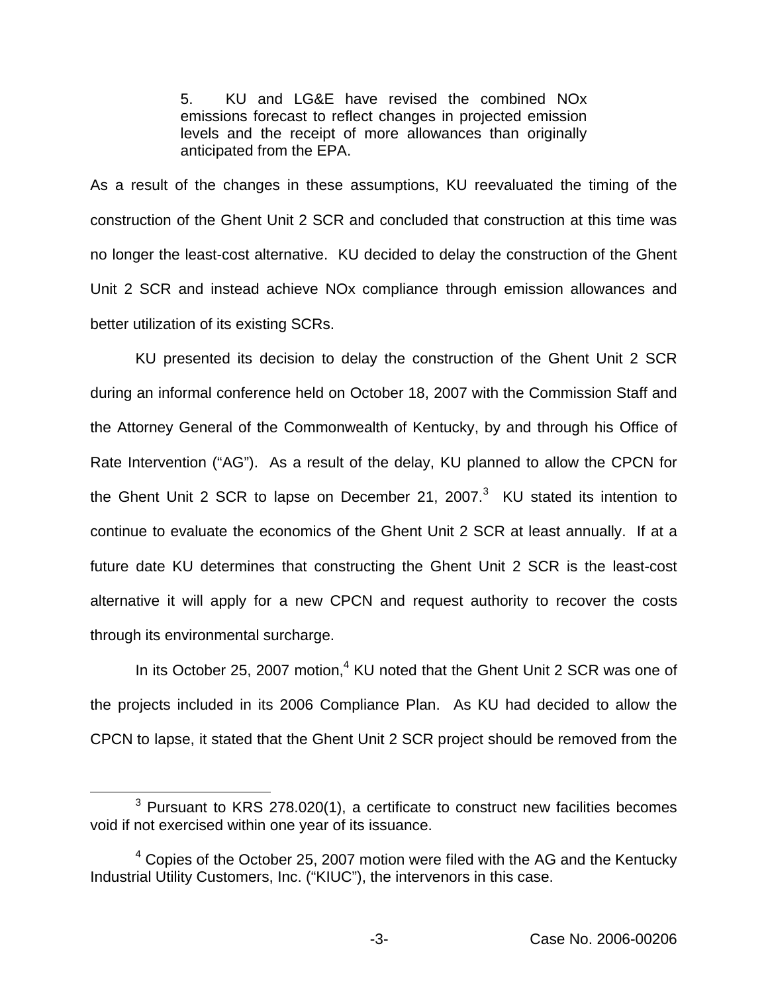5. KU and LG&E have revised the combined NOx emissions forecast to reflect changes in projected emission levels and the receipt of more allowances than originally anticipated from the EPA.

As a result of the changes in these assumptions, KU reevaluated the timing of the construction of the Ghent Unit 2 SCR and concluded that construction at this time was no longer the least-cost alternative. KU decided to delay the construction of the Ghent Unit 2 SCR and instead achieve NOx compliance through emission allowances and better utilization of its existing SCRs.

KU presented its decision to delay the construction of the Ghent Unit 2 SCR during an informal conference held on October 18, 2007 with the Commission Staff and the Attorney General of the Commonwealth of Kentucky, by and through his Office of Rate Intervention ("AG"). As a result of the delay, KU planned to allow the CPCN for the Ghent Unit 2 SCR to lapse on December 21, 2007. $3$  KU stated its intention to continue to evaluate the economics of the Ghent Unit 2 SCR at least annually. If at a future date KU determines that constructing the Ghent Unit 2 SCR is the least-cost alternative it will apply for a new CPCN and request authority to recover the costs through its environmental surcharge.

In its October 25, 2007 motion, $4$  KU noted that the Ghent Unit 2 SCR was one of the projects included in its 2006 Compliance Plan. As KU had decided to allow the CPCN to lapse, it stated that the Ghent Unit 2 SCR project should be removed from the

 $3$  Pursuant to KRS 278.020(1), a certificate to construct new facilities becomes void if not exercised within one year of its issuance.

 $4$  Copies of the October 25, 2007 motion were filed with the AG and the Kentucky Industrial Utility Customers, Inc. ("KIUC"), the intervenors in this case.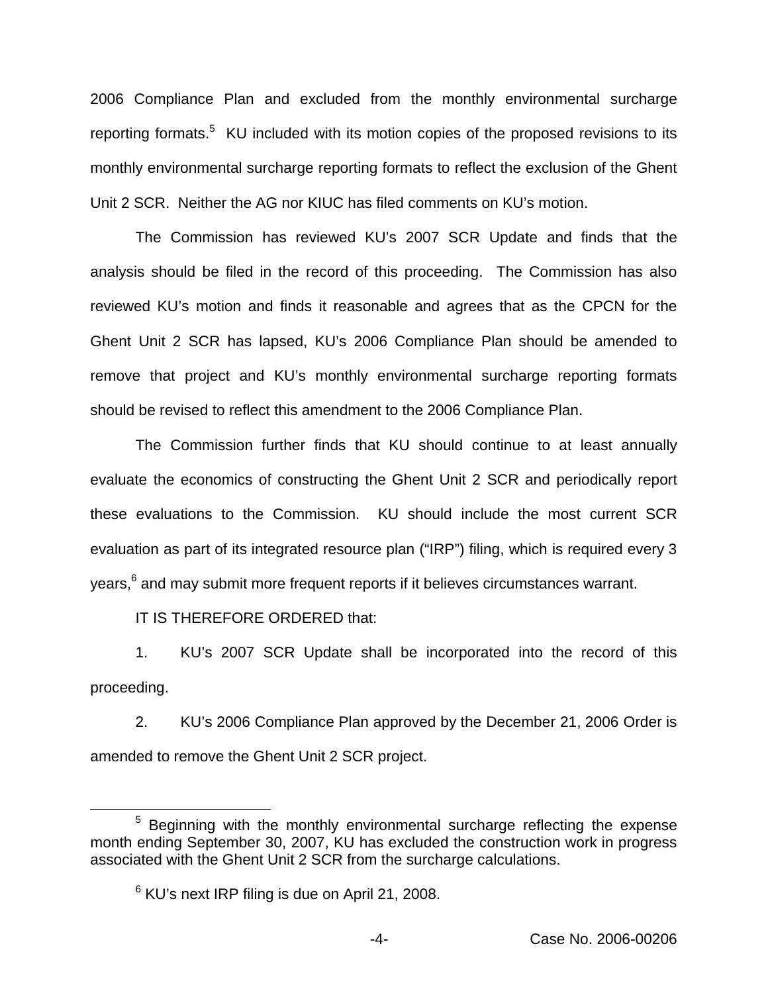2006 Compliance Plan and excluded from the monthly environmental surcharge reporting formats.<sup>5</sup> KU included with its motion copies of the proposed revisions to its monthly environmental surcharge reporting formats to reflect the exclusion of the Ghent Unit 2 SCR. Neither the AG nor KIUC has filed comments on KU's motion.

The Commission has reviewed KU's 2007 SCR Update and finds that the analysis should be filed in the record of this proceeding. The Commission has also reviewed KU's motion and finds it reasonable and agrees that as the CPCN for the Ghent Unit 2 SCR has lapsed, KU's 2006 Compliance Plan should be amended to remove that project and KU's monthly environmental surcharge reporting formats should be revised to reflect this amendment to the 2006 Compliance Plan.

The Commission further finds that KU should continue to at least annually evaluate the economics of constructing the Ghent Unit 2 SCR and periodically report these evaluations to the Commission. KU should include the most current SCR evaluation as part of its integrated resource plan ("IRP") filing, which is required every 3 years,<sup>6</sup> and may submit more frequent reports if it believes circumstances warrant.

IT IS THEREFORE ORDERED that:

1. KU's 2007 SCR Update shall be incorporated into the record of this proceeding.

2. KU's 2006 Compliance Plan approved by the December 21, 2006 Order is amended to remove the Ghent Unit 2 SCR project.

<sup>&</sup>lt;sup>5</sup> Beginning with the monthly environmental surcharge reflecting the expense month ending September 30, 2007, KU has excluded the construction work in progress associated with the Ghent Unit 2 SCR from the surcharge calculations.

 $6$  KU's next IRP filing is due on April 21, 2008.